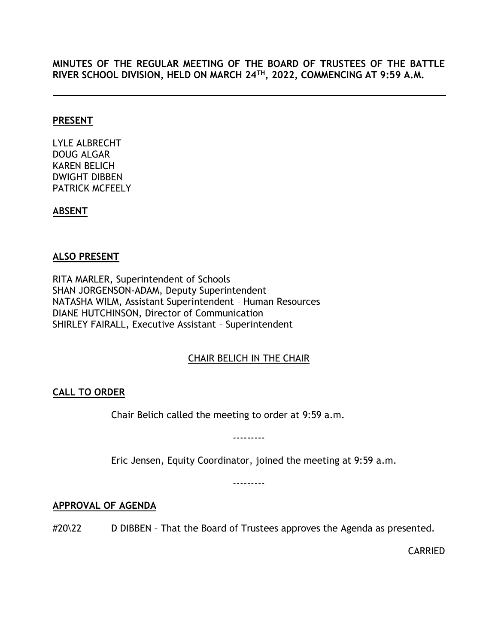**MINUTES OF THE REGULAR MEETING OF THE BOARD OF TRUSTEES OF THE BATTLE RIVER SCHOOL DIVISION, HELD ON MARCH 24TH, 2022, COMMENCING AT 9:59 A.M.**

#### **PRESENT**

LYLE ALBRECHT DOUG ALGAR KAREN BELICH DWIGHT DIBBEN PATRICK MCFEELY

### **ABSENT**

## **ALSO PRESENT**

RITA MARLER, Superintendent of Schools SHAN JORGENSON-ADAM, Deputy Superintendent NATASHA WILM, Assistant Superintendent – Human Resources DIANE HUTCHINSON, Director of Communication SHIRLEY FAIRALL, Executive Assistant – Superintendent

# CHAIR BELICH IN THE CHAIR

# <span id="page-0-0"></span>**CALL TO ORDER**

Chair Belich called the meeting to order at 9:59 a.m.

---------

Eric Jensen, Equity Coordinator, joined the meeting at 9:59 a.m.

---------

### <span id="page-0-1"></span>**APPROVAL OF AGENDA**

#20\22 D DIBBEN - That the Board of Trustees approves the Agenda as presented.

CARRIED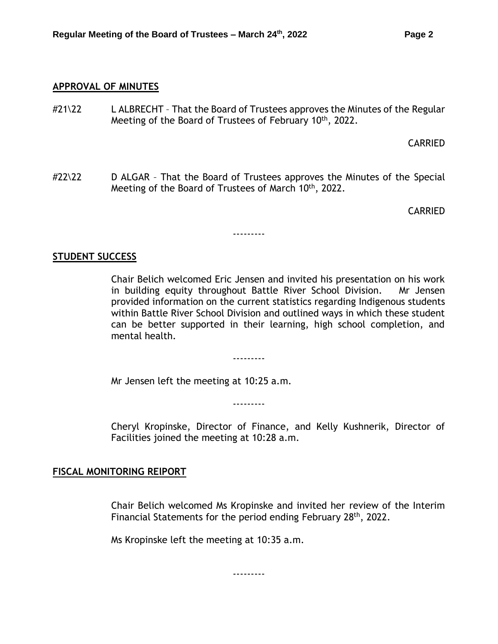#### <span id="page-1-0"></span>**APPROVAL OF MINUTES**

 $\#21\overline{22}$  L ALBRECHT - That the Board of Trustees approves the Minutes of the Regular Meeting of the Board of Trustees of February 10<sup>th</sup>, 2022.

CARRIED

#22\22 D ALGAR - That the Board of Trustees approves the Minutes of the Special Meeting of the Board of Trustees of March 10<sup>th</sup>, 2022.

---------

CARRIED

### <span id="page-1-1"></span>**STUDENT SUCCESS**

Chair Belich welcomed Eric Jensen and invited his presentation on his work in building equity throughout Battle River School Division. Mr Jensen provided information on the current statistics regarding Indigenous students within Battle River School Division and outlined ways in which these student can be better supported in their learning, high school completion, and mental health.

Mr Jensen left the meeting at 10:25 a.m.

---------

---------

Cheryl Kropinske, Director of Finance, and Kelly Kushnerik, Director of Facilities joined the meeting at 10:28 a.m.

### <span id="page-1-2"></span>**FISCAL MONITORING RElPORT**

Chair Belich welcomed Ms Kropinske and invited her review of the Interim Financial Statements for the period ending February 28<sup>th</sup>, 2022.

Ms Kropinske left the meeting at 10:35 a.m.

---------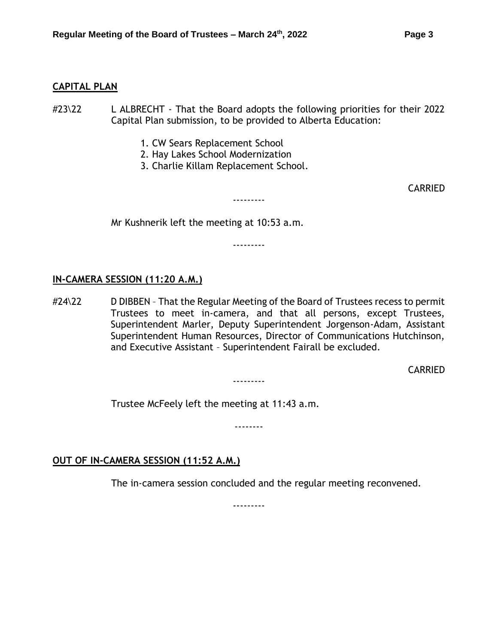#### <span id="page-2-0"></span>**CAPITAL PLAN**

- #23\22 L ALBRECHT That the Board adopts the following priorities for their 2022 Capital Plan submission, to be provided to Alberta Education:
	- 1. CW Sears Replacement School
	- 2. Hay Lakes School Modernization
	- 3. Charlie Killam Replacement School.

CARRIED

Mr Kushnerik left the meeting at 10:53 a.m.

---------

---------

#### **IN-CAMERA SESSION (11:20 A.M.)**

#24\22 D DIBBEN – That the Regular Meeting of the Board of Trustees recess to permit Trustees to meet in-camera, and that all persons, except Trustees, Superintendent Marler, Deputy Superintendent Jorgenson-Adam, Assistant Superintendent Human Resources, Director of Communications Hutchinson, and Executive Assistant – Superintendent Fairall be excluded.

CARRIED

Trustee McFeely left the meeting at 11:43 a.m.

--------

---------

### **OUT OF IN-CAMERA SESSION (11:52 A.M.)**

The in-camera session concluded and the regular meeting reconvened.

---------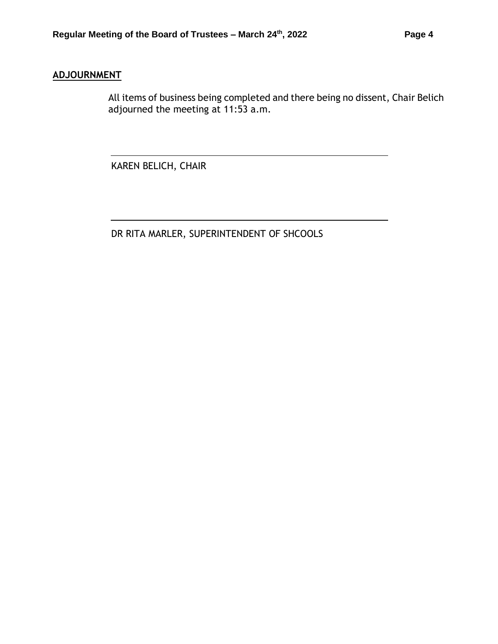## **ADJOURNMENT**

All items of business being completed and there being no dissent, Chair Belich adjourned the meeting at 11:53 a.m.

KAREN BELICH, CHAIR

DR RITA MARLER, SUPERINTENDENT OF SHCOOLS